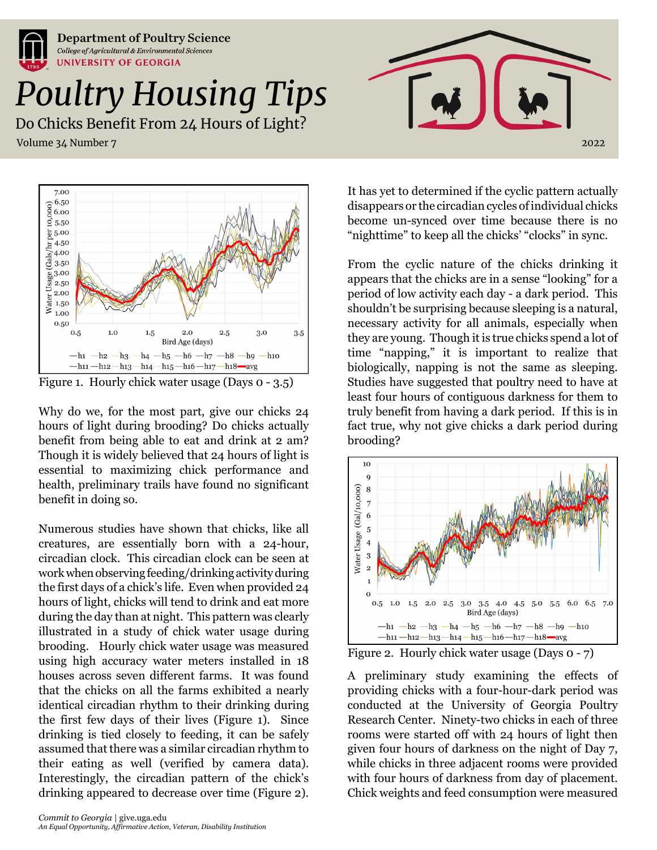



Figure 1. Hourly chick water usage (Days 0 - 3.5)

Why do we, for the most part, give our chicks 24 hours of light during brooding? Do chicks actually benefit from being able to eat and drink at 2 am? Though it is widely believed that 24 hours of light is essential to maximizing chick performance and health, preliminary trails have found no significant benefit in doing so.

Numerous studies have shown that chicks, like all creatures, are essentially born with a 24-hour, circadian clock. This circadian clock can be seen at work when observing feeding/drinking activity during the first days of a chick's life. Even when provided 24 hours of light, chicks will tend to drink and eat more during the day than at night. This pattern was clearly illustrated in a study of chick water usage during brooding. Hourly chick water usage was measured using high accuracy water meters installed in 18 houses across seven different farms. It was found that the chicks on all the farms exhibited a nearly identical circadian rhythm to their drinking during the first few days of their lives (Figure 1). Since drinking is tied closely to feeding, it can be safely assumed that there was a similar circadian rhythm to their eating as well (verified by camera data). Interestingly, the circadian pattern of the chick's drinking appeared to decrease over time (Figure 2).

It has yet to determined if the cyclic pattern actually disappears or the circadian cycles of individual chicks become un-synced over time because there is no "nighttime" to keep all the chicks' "clocks" in sync.

From the cyclic nature of the chicks drinking it appears that the chicks are in a sense "looking" for a period of low activity each day - a dark period. This shouldn't be surprising because sleeping is a natural, necessary activity for all animals, especially when they are young. Though it is true chicks spend a lot of time "napping," it is important to realize that biologically, napping is not the same as sleeping. Studies have suggested that poultry need to have at least four hours of contiguous darkness for them to truly benefit from having a dark period. If this is in fact true, why not give chicks a dark period during brooding?



Figure 2. Hourly chick water usage (Days 0 - 7)

A preliminary study examining the effects of providing chicks with a four-hour-dark period was conducted at the University of Georgia Poultry Research Center. Ninety-two chicks in each of three rooms were started off with 24 hours of light then given four hours of darkness on the night of Day 7, while chicks in three adjacent rooms were provided with four hours of darkness from day of placement. Chick weights and feed consumption were measured